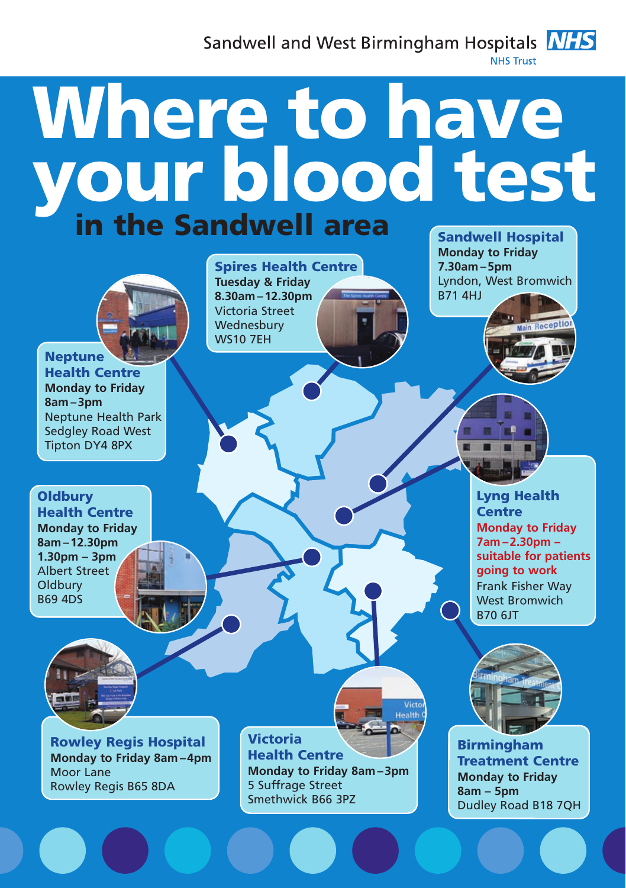Sandwell and West Birmingham Hospitals **NHS** NHS Truct



## Sandwell Hospital Where to have your blood test

Spires Health Centre **Tuesday & Friday**

**8.30am –12.30pm** Victoria Street **Wednesbury** WS10 7EH

**Neptune** Health Centre **Monday to Friday 8am –3pm** Neptune Health Park Sedgley Road West Tipton DY4 8PX

**Oldbury** Health Centre **Monday to Friday 8am –12.30pm 1.30pm – 3pm** Albert Street **Oldbury** B69 4DS

> Rowley Regis Hospital **Monday to Friday 8am –4pm** Moor Lane Rowley Regis B65 8DA

Victoria Health Centre **Monday to Friday 8am –3pm** 5 Suffrage Street Smethwick B66 3PZ

Health

**Monday to Friday 7.30am –5pm** Lyndon, West Bromwich B71 4HJ

> Lyng Health **Centre Monday to Friday 7am –2.30pm – suitable for patients going to work** Frank Fisher Way West Bromwich B70 6JT



**Birmingham** Treatment Centre **Monday to Friday 8am – 5pm** Dudley Road B18 7QH